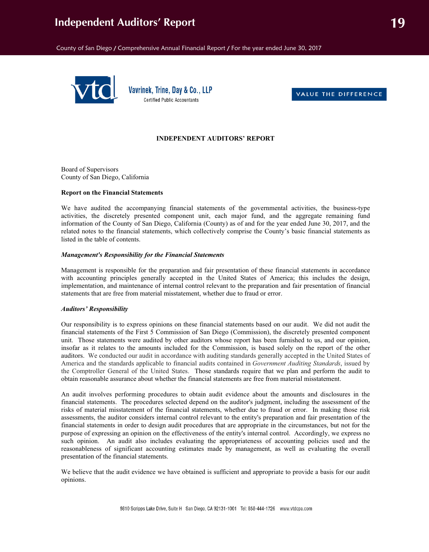# **Independent Auditors' Report**

County of San Diego / Comprehensive Annual Financial Report / For the year ended June 30, 2017



Vavrinek, Trine, Day & Co., LLP **Certified Public Accountants** 



# **INDEPENDENT AUDITORS' REPORT**

Board of Supervisors County of San Diego, California

#### **Report on the Financial Statements**

We have audited the accompanying financial statements of the governmental activities, the business-type activities, the discretely presented component unit, each major fund, and the aggregate remaining fund information of the County of San Diego, California (County) as of and for the year ended June 30, 2017, and the related notes to the financial statements, which collectively comprise the County's basic financial statements as listed in the table of contents.

#### *Management's Responsibility for the Financial Statements*

Management is responsible for the preparation and fair presentation of these financial statements in accordance with accounting principles generally accepted in the United States of America; this includes the design, implementation, and maintenance of internal control relevant to the preparation and fair presentation of financial statements that are free from material misstatement, whether due to fraud or error.

## *Auditors' Responsibility*

Our responsibility is to express opinions on these financial statements based on our audit. We did not audit the financial statements of the First 5 Commission of San Diego (Commission), the discretely presented component unit. Those statements were audited by other auditors whose report has been furnished to us, and our opinion, insofar as it relates to the amounts included for the Commission, is based solely on the report of the other auditors. We conducted our audit in accordance with auditing standards generally accepted in the United States of America and the standards applicable to financial audits contained in *Government Auditing Standards*, issued by the Comptroller General of the United States. Those standards require that we plan and perform the audit to obtain reasonable assurance about whether the financial statements are free from material misstatement.

An audit involves performing procedures to obtain audit evidence about the amounts and disclosures in the financial statements. The procedures selected depend on the auditor's judgment, including the assessment of the risks of material misstatement of the financial statements, whether due to fraud or error. In making those risk assessments, the auditor considers internal control relevant to the entity's preparation and fair presentation of the financial statements in order to design audit procedures that are appropriate in the circumstances, but not for the purpose of expressing an opinion on the effectiveness of the entity's internal control. Accordingly, we express no such opinion. An audit also includes evaluating the appropriateness of accounting policies used and the reasonableness of significant accounting estimates made by management, as well as evaluating the overall presentation of the financial statements.

We believe that the audit evidence we have obtained is sufficient and appropriate to provide a basis for our audit opinions.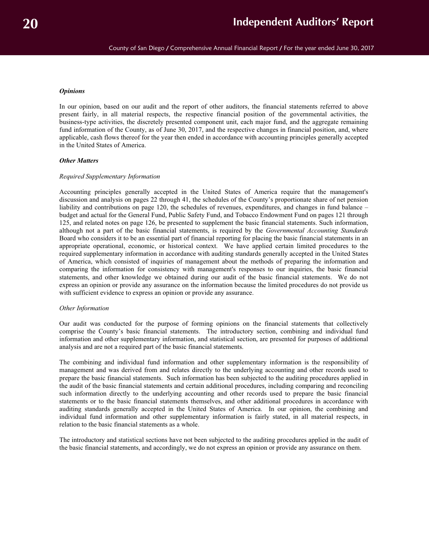# *Opinions*

In our opinion, based on our audit and the report of other auditors, the financial statements referred to above present fairly, in all material respects, the respective financial position of the governmental activities, the business-type activities, the discretely presented component unit, each major fund, and the aggregate remaining fund information of the County, as of June 30, 2017, and the respective changes in financial position, and, where applicable, cash flows thereof for the year then ended in accordance with accounting principles generally accepted in the United States of America.

## *Other Matters*

#### *Required Supplementary Information*

Accounting principles generally accepted in the United States of America require that the management's discussion and analysis on pages 22 through 41, the schedules of the County's proportionate share of net pension liability and contributions on page 120, the schedules of revenues, expenditures, and changes in fund balance – budget and actual for the General Fund, Public Safety Fund, and Tobacco Endowment Fund on pages 121 through 125, and related notes on page 126, be presented to supplement the basic financial statements. Such information, although not a part of the basic financial statements, is required by the *Governmental Accounting Standards* Board who considers it to be an essential part of financial reporting for placing the basic financial statements in an appropriate operational, economic, or historical context. We have applied certain limited procedures to the required supplementary information in accordance with auditing standards generally accepted in the United States of America, which consisted of inquiries of management about the methods of preparing the information and comparing the information for consistency with management's responses to our inquiries, the basic financial statements, and other knowledge we obtained during our audit of the basic financial statements. We do not express an opinion or provide any assurance on the information because the limited procedures do not provide us with sufficient evidence to express an opinion or provide any assurance.

#### *Other Information*

Our audit was conducted for the purpose of forming opinions on the financial statements that collectively comprise the County's basic financial statements. The introductory section, combining and individual fund information and other supplementary information, and statistical section, are presented for purposes of additional analysis and are not a required part of the basic financial statements.

The combining and individual fund information and other supplementary information is the responsibility of management and was derived from and relates directly to the underlying accounting and other records used to prepare the basic financial statements. Such information has been subjected to the auditing procedures applied in the audit of the basic financial statements and certain additional procedures, including comparing and reconciling such information directly to the underlying accounting and other records used to prepare the basic financial statements or to the basic financial statements themselves, and other additional procedures in accordance with auditing standards generally accepted in the United States of America. In our opinion, the combining and individual fund information and other supplementary information is fairly stated, in all material respects, in relation to the basic financial statements as a whole.

The introductory and statistical sections have not been subjected to the auditing procedures applied in the audit of the basic financial statements, and accordingly, we do not express an opinion or provide any assurance on them.